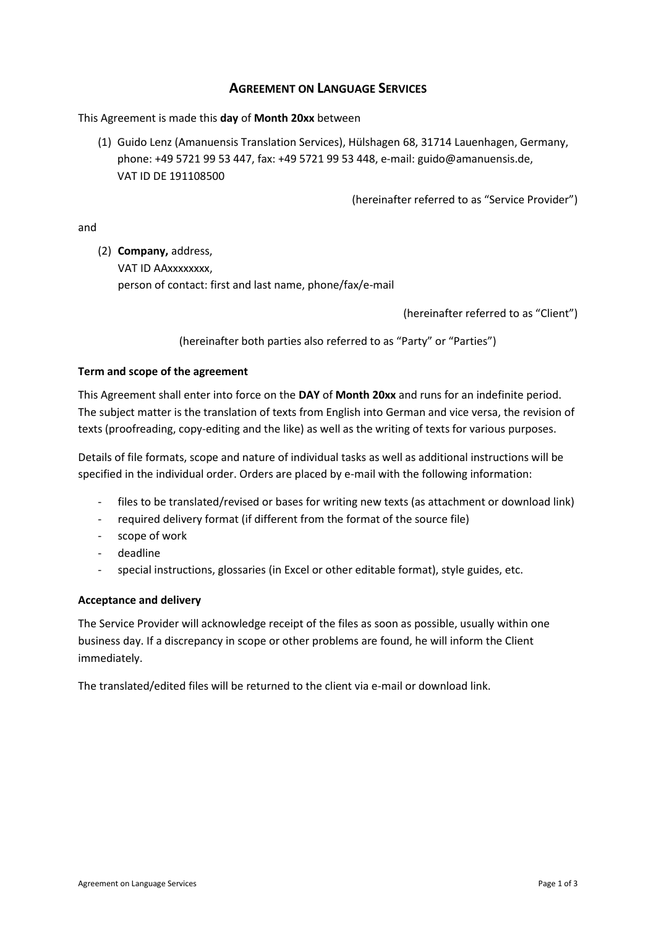# **AGREEMENT ON LANGUAGE SERVICES**

This Agreement is made this **day** of **Month 20xx** between

(1) Guido Lenz (Amanuensis Translation Services), Hülshagen 68, 31714 Lauenhagen, Germany, phone: +49 5721 99 53 447, fax: +49 5721 99 53 448, e-mail: guido@amanuensis.de, VAT ID DE 191108500

(hereinafter referred to as "Service Provider")

and

(2) **Company,** address,

VAT ID AAxxxxxxxx, person of contact: first and last name, phone/fax/e-mail

(hereinafter referred to as "Client")

(hereinafter both parties also referred to as "Party" or "Parties")

# **Term and scope of the agreement**

This Agreement shall enter into force on the **DAY** of **Month 20xx** and runs for an indefinite period. The subject matter is the translation of texts from English into German and vice versa, the revision of texts (proofreading, copy-editing and the like) as well as the writing of texts for various purposes.

Details of file formats, scope and nature of individual tasks as well as additional instructions will be specified in the individual order. Orders are placed by e-mail with the following information:

- files to be translated/revised or bases for writing new texts (as attachment or download link)
- required delivery format (if different from the format of the source file)
- scope of work
- deadline
- special instructions, glossaries (in Excel or other editable format), style guides, etc.

# **Acceptance and delivery**

The Service Provider will acknowledge receipt of the files as soon as possible, usually within one business day. If a discrepancy in scope or other problems are found, he will inform the Client immediately.

The translated/edited files will be returned to the client via e-mail or download link.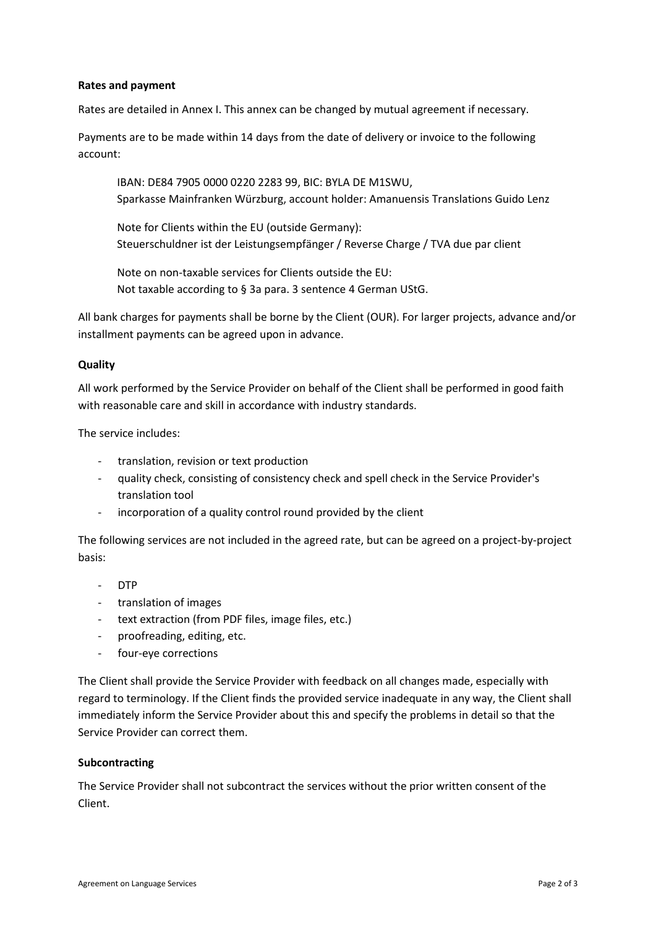# **Rates and payment**

Rates are detailed in Annex I. This annex can be changed by mutual agreement if necessary.

Payments are to be made within 14 days from the date of delivery or invoice to the following account:

IBAN: DE84 7905 0000 0220 2283 99, BIC: BYLA DE M1SWU, Sparkasse Mainfranken Würzburg, account holder: Amanuensis Translations Guido Lenz

Note for Clients within the EU (outside Germany): Steuerschuldner ist der Leistungsempfänger / Reverse Charge / TVA due par client

Note on non-taxable services for Clients outside the EU: Not taxable according to § 3a para. 3 sentence 4 German UStG.

All bank charges for payments shall be borne by the Client (OUR). For larger projects, advance and/or installment payments can be agreed upon in advance.

#### **Quality**

All work performed by the Service Provider on behalf of the Client shall be performed in good faith with reasonable care and skill in accordance with industry standards.

The service includes:

- translation, revision or text production
- quality check, consisting of consistency check and spell check in the Service Provider's translation tool
- incorporation of a quality control round provided by the client

The following services are not included in the agreed rate, but can be agreed on a project-by-project basis:

- DTP
- translation of images
- text extraction (from PDF files, image files, etc.)
- proofreading, editing, etc.
- four-eye corrections

The Client shall provide the Service Provider with feedback on all changes made, especially with regard to terminology. If the Client finds the provided service inadequate in any way, the Client shall immediately inform the Service Provider about this and specify the problems in detail so that the Service Provider can correct them.

#### **Subcontracting**

The Service Provider shall not subcontract the services without the prior written consent of the Client.